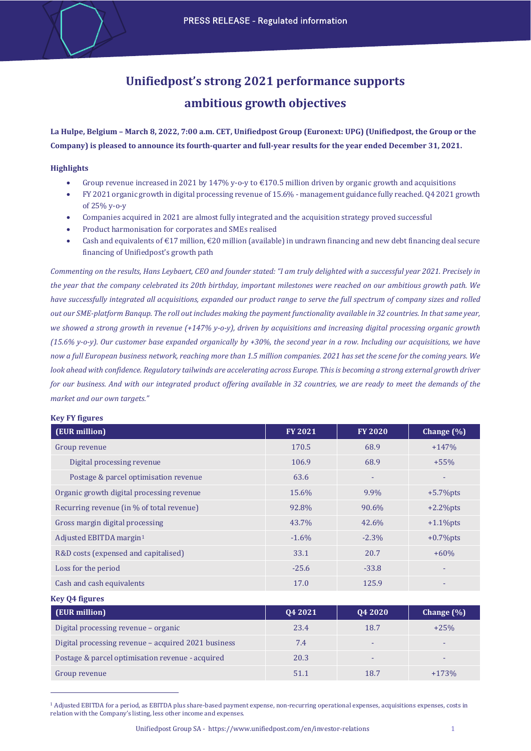# **Unifiedpost's strong 2021 performance supports ambitious growth objectives**

**La Hulpe, Belgium – March 8, 2022, 7:00 a.m. CET, Unifiedpost Group (Euronext: UPG) (Unifiedpost, the Group or the Company) is pleased to announce its fourth‐quarter and full‐year results for the year ended December 31, 2021.**

## **Highlights**

- Group revenue increased in 2021 by 147% y-o-y to  $\epsilon$ 170.5 million driven by organic growth and acquisitions
- FY 2021 organic growth in digital processing revenue of 15.6% management guidance fully reached. Q4 2021 growth of 25% y-o-y
- Companies acquired in 2021 are almost fully integrated and the acquisition strategy proved successful
- Product harmonisation for corporates and SMEs realised
- Cash and equivalents of  $\epsilon$ 17 million,  $\epsilon$ 20 million (available) in undrawn financing and new debt financing deal secure financing of Unifiedpost's growth path

*Commenting on the results, Hans Leybaert, CEO and founder stated: "I am truly delighted with a successful year 2021. Precisely in the year that the company celebrated its 20th birthday, important milestones were reached on our ambitious growth path. We have successfully integrated all acquisitions, expanded our product range to serve the full spectrum of company sizes and rolled out our SME-platform Banqup. The roll out includes making the payment functionality available in 32 countries. In that same year, we showed a strong growth in revenue (+147% y-o-y), driven by acquisitions and increasing digital processing organic growth (15.6% y-o-y). Our customer base expanded organically by +30%, the second year in a row. Including our acquisitions, we have now a full European business network, reaching more than 1.5 million companies. 2021 has set the scene for the coming years. We look ahead with confidence. Regulatory tailwinds are accelerating across Europe. This is becoming a strong external growth driver for our business. And with our integrated product offering available in 32 countries, we are ready to meet the demands of the market and our own targets."*

| (EUR million)                             | <b>FY 2021</b> | <b>FY 2020</b> | Change (%)   |
|-------------------------------------------|----------------|----------------|--------------|
| Group revenue                             | 170.5          | 68.9           | $+147%$      |
| Digital processing revenue                | 106.9          | 68.9           | $+55%$       |
| Postage & parcel optimisation revenue     | 63.6           |                | ۰            |
| Organic growth digital processing revenue | 15.6%          | 9.9%           | $+5.7%$ pts  |
| Recurring revenue (in % of total revenue) | 92.8%          | 90.6%          | $+2.2\%$ pts |
| Gross margin digital processing           | 43.7%          | 42.6%          | $+1.1\%$ pts |
| Adjusted EBITDA margin <sup>1</sup>       | $-1.6%$        | $-2.3\%$       | $+0.7\%$ pts |
| R&D costs (expensed and capitalised)      | 33.1           | 20.7           | $+60%$       |
| Loss for the period                       | $-25.6$        | $-33.8$        | ٠            |
| Cash and cash equivalents                 | 17.0           | 125.9          | ٠            |

#### **Key FY figures**

**Key Q4 figures**

| [ (EUR million)                                     | 04 20 21 | Q4 2020 | Change $(\% )$ |
|-----------------------------------------------------|----------|---------|----------------|
| Digital processing revenue - organic                | 23.4     | 18.7    | $+25%$         |
| Digital processing revenue - acquired 2021 business | 7.4      |         |                |
| Postage & parcel optimisation revenue - acquired    | 20.3     |         | -              |
| Group revenue                                       | 51.1     | 18.7    | $+173%$        |

<span id="page-0-0"></span><sup>1</sup> Adjusted EBITDA for a period, as EBITDA plus share-based payment expense, non-recurring operational expenses, acquisitions expenses, costs in relation with the Company's listing, less other income and expenses.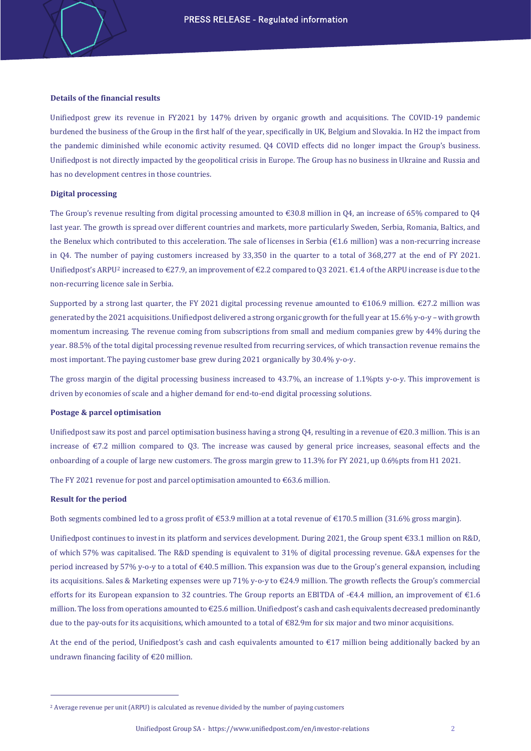#### **Details of the financial results**

Unifiedpost grew its revenue in FY2021 by 147% driven by organic growth and acquisitions. The COVID-19 pandemic burdened the business of the Group in the first half of the year, specifically in UK, Belgium and Slovakia. In H2 the impact from the pandemic diminished while economic activity resumed. Q4 COVID effects did no longer impact the Group's business. Unifiedpost is not directly impacted by the geopolitical crisis in Europe. The Group has no business in Ukraine and Russia and has no development centres in those countries.

#### **Digital processing**

The Group's revenue resulting from digital processing amounted to  $\epsilon$ 30.8 million in 04, an increase of 65% compared to 04 last year. The growth is spread over different countries and markets, more particularly Sweden, Serbia, Romania, Baltics, and the Benelux which contributed to this acceleration. The sale of licenses in Serbia (€1.6 million) was a non-recurring increase in Q4. The number of paying customers increased by 33,350 in the quarter to a total of 368,277 at the end of FY 2021. Unifiedpost's ARPU<sup>[2](#page-1-0)</sup> increased to  $\epsilon$ 27.9, an improvement of  $\epsilon$ 2.2 compared to 03 2021.  $\epsilon$ 1.4 of the ARPU increase is due to the non-recurring licence sale in Serbia.

Supported by a strong last quarter, the FY 2021 digital processing revenue amounted to  $\epsilon$ 106.9 million.  $\epsilon$ 27.2 million was generated by the 2021 acquisitions. Unifiedpost delivered a strong organic growth for the full year at 15.6% y-o-y – with growth momentum increasing. The revenue coming from subscriptions from small and medium companies grew by 44% during the year. 88.5% of the total digital processing revenue resulted from recurring services, of which transaction revenue remains the most important. The paying customer base grew during 2021 organically by 30.4% y-o-y.

The gross margin of the digital processing business increased to 43.7%, an increase of 1.1%pts y-o-y. This improvement is driven by economies of scale and a higher demand for end-to-end digital processing solutions.

#### **Postage & parcel optimisation**

Unifiedpost saw its post and parcel optimisation business having a strong  $Q4$ , resulting in a revenue of  $\epsilon$ 20.3 million. This is an increase of €7.2 million compared to Q3. The increase was caused by general price increases, seasonal effects and the onboarding of a couple of large new customers. The gross margin grew to 11.3% for FY 2021, up 0.6%pts from H1 2021.

The FY 2021 revenue for post and parcel optimisation amounted to  $\epsilon$ 63.6 million.

#### **Result for the period**

Both segments combined led to a gross profit of €53.9 million at a total revenue of €170.5 million (31.6% gross margin).

Unifiedpost continues to invest in its platform and services development. During 2021, the Group spent €33.1 million on R&D, of which 57% was capitalised. The R&D spending is equivalent to 31% of digital processing revenue. G&A expenses for the period increased by 57% y-o-y to a total of €40.5 million. This expansion was due to the Group's general expansion, including its acquisitions. Sales & Marketing expenses were up 71% y-o-y to €24.9 million. The growth reflects the Group's commercial efforts for its European expansion to 32 countries. The Group reports an EBITDA of -€4.4 million, an improvement of €1.6 million. The loss from operations amounted to €25.6 million. Unifiedpost's cash and cash equivalents decreased predominantly due to the pay-outs for its acquisitions, which amounted to a total of  $\epsilon$ 82.9m for six major and two minor acquisitions.

At the end of the period, Unifiedpost's cash and cash equivalents amounted to €17 million being additionally backed by an undrawn financing facility of €20 million.

<span id="page-1-0"></span><sup>2</sup> Average revenue per unit (ARPU) is calculated as revenue divided by the number of paying customers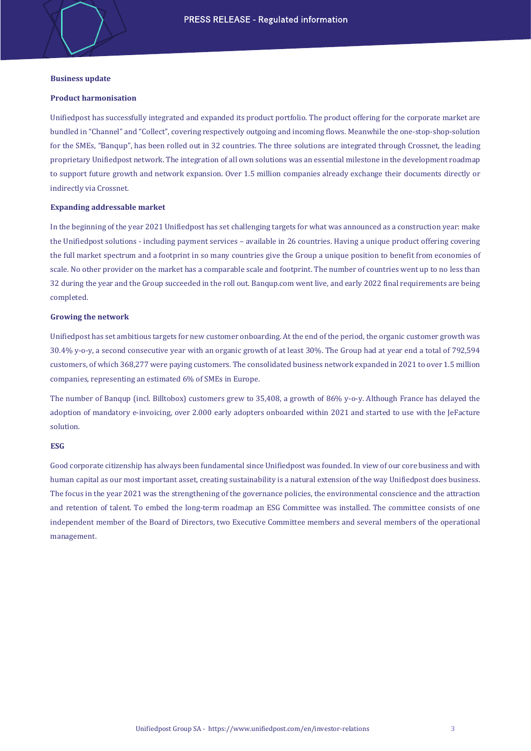### **Business update**

#### **Product harmonisation**

Unifiedpost has successfully integrated and expanded its product portfolio. The product offering for the corporate market are bundled in "Channel" and "Collect", covering respectively outgoing and incoming flows. Meanwhile the one-stop-shop-solution for the SMEs, "Banqup", has been rolled out in 32 countries. The three solutions are integrated through Crossnet, the leading proprietary Unifiedpost network. The integration of all own solutions was an essential milestone in the development roadmap to support future growth and network expansion. Over 1.5 million companies already exchange their documents directly or indirectly via Crossnet.

#### **Expanding addressable market**

In the beginning of the year 2021 Unifiedpost has set challenging targets for what was announced as a construction year: make the Unifiedpost solutions - including payment services – available in 26 countries. Having a unique product offering covering the full market spectrum and a footprint in so many countries give the Group a unique position to benefit from economies of scale. No other provider on the market has a comparable scale and footprint. The number of countries went up to no less than 32 during the year and the Group succeeded in the roll out. Banqup.com went live, and early 2022 final requirements are being completed.

#### **Growing the network**

Unifiedpost has set ambitious targets for new customer onboarding. At the end of the period, the organic customer growth was 30.4% y-o-y, a second consecutive year with an organic growth of at least 30%. The Group had at year end a total of 792,594 customers, of which 368,277 were paying customers. The consolidated business network expanded in 2021 to over 1.5 million companies, representing an estimated 6% of SMEs in Europe.

The number of Banqup (incl. Billtobox) customers grew to 35,408, a growth of 86% y-o-y. Although France has delayed the adoption of mandatory e-invoicing, over 2.000 early adopters onboarded within 2021 and started to use with the JeFacture solution.

## **ESG**

Good corporate citizenship has always been fundamental since Unifiedpost was founded. In view of our core business and with human capital as our most important asset, creating sustainability is a natural extension of the way Unifiedpost does business. The focus in the year 2021 was the strengthening of the governance policies, the environmental conscience and the attraction and retention of talent. To embed the long-term roadmap an ESG Committee was installed. The committee consists of one independent member of the Board of Directors, two Executive Committee members and several members of the operational management.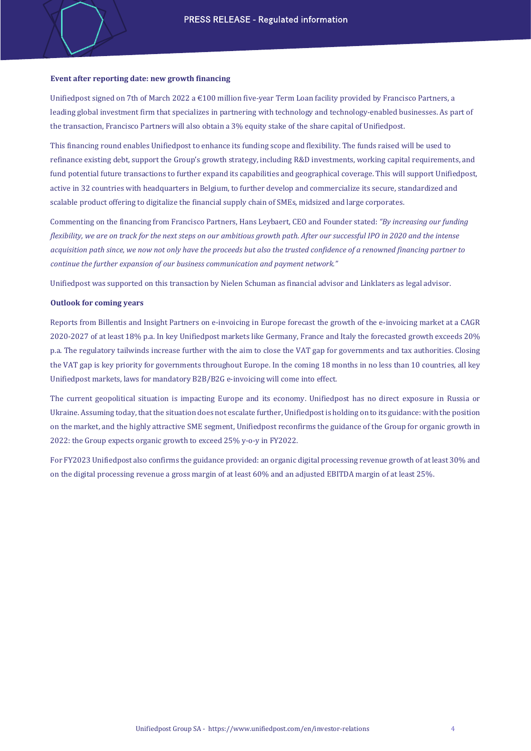### **Event after reporting date: new growth financing**

Unifiedpost signed on 7th of March 2022 a €100 million five-year Term Loan facility provided by Francisco Partners, a leading global investment firm that specializes in partnering with technology and technology-enabled businesses. As part of the transaction, Francisco Partners will also obtain a 3% equity stake of the share capital of Unifiedpost.

This financing round enables Unifiedpost to enhance its funding scope and flexibility. The funds raised will be used to refinance existing debt, support the Group's growth strategy, including R&D investments, working capital requirements, and fund potential future transactions to further expand its capabilities and geographical coverage. This will support Unifiedpost, active in 32 countries with headquarters in Belgium, to further develop and commercialize its secure, standardized and scalable product offering to digitalize the financial supply chain of SMEs, midsized and large corporates.

Commenting on the financing from Francisco Partners, Hans Leybaert, CEO and Founder stated: *"By increasing our funding flexibility, we are on track for the next steps on our ambitious growth path. After our successful IPO in 2020 and the intense acquisition path since, we now not only have the proceeds but also the trusted confidence of a renowned financing partner to continue the further expansion of our business communication and payment network."*

Unifiedpost was supported on this transaction by Nielen Schuman as financial advisor and Linklaters as legal advisor.

### **Outlook for coming years**

Reports from Billentis and Insight Partners on e-invoicing in Europe forecast the growth of the e-invoicing market at a CAGR 2020-2027 of at least 18% p.a. In key Unifiedpost markets like Germany, France and Italy the forecasted growth exceeds 20% p.a. The regulatory tailwinds increase further with the aim to close the VAT gap for governments and tax authorities. Closing the VAT gap is key priority for governments throughout Europe. In the coming 18 months in no less than 10 countries, all key Unifiedpost markets, laws for mandatory B2B/B2G e-invoicing will come into effect.

The current geopolitical situation is impacting Europe and its economy. Unifiedpost has no direct exposure in Russia or Ukraine. Assuming today, that the situation does not escalate further, Unifiedpost is holding on to its guidance: with the position on the market, and the highly attractive SME segment, Unifiedpost reconfirms the guidance of the Group for organic growth in 2022: the Group expects organic growth to exceed 25% y-o-y in FY2022.

For FY2023 Unifiedpost also confirms the guidance provided: an organic digital processing revenue growth of at least 30% and on the digital processing revenue a gross margin of at least 60% and an adjusted EBITDA margin of at least 25%.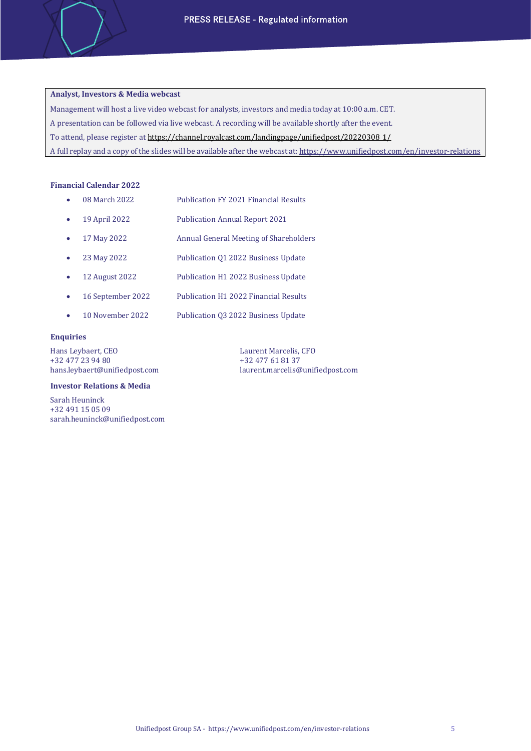# **Analyst, Investors & Media webcast**

Management will host a live video webcast for analysts, investors and media today at 10:00 a.m. CET.

A presentation can be followed via live webcast. A recording will be available shortly after the event.

To attend, please register a[t https://channel.royalcast.com/landingpage/unifiedpost/20220308\\_1/](https://channel.royalcast.com/landingpage/unifiedpost/20220308_1/)

A full replay and a copy of the slides will be available after the webcast at[: https://www.unifiedpost.com/en/investor-relations](https://www.unifiedpost.com/en/investor-relations)

### **Financial Calendar 2022**

| $\bullet$ | 08 March 2022 | <b>Publication FY 2021 Financial Results</b> |  |
|-----------|---------------|----------------------------------------------|--|
|           |               |                                              |  |

- 19 April 2022 Publication Annual Report 2021
- 17 May 2022 Annual General Meeting of Shareholders
- 23 May 2022 Publication Q1 2022 Business Update
- 12 August 2022 Publication H1 2022 Business Update
- 16 September 2022 Publication H1 2022 Financial Results
- 10 November 2022 Publication Q3 2022 Business Update

## **Enquiries**

Hans Leybaert, CEO Laurent Marcelis, CFO 132 477 23 94 80 +32 477 23 94 80 +32 477 61 81 37

#### **Investor Relations & Media**

Sarah Heuninck +32 491 15 05 09 sarah.heuninck@unifiedpost.com [laurent.marcelis@unifiedpost.com](mailto:laurent.marcelis@unifiedpost.com)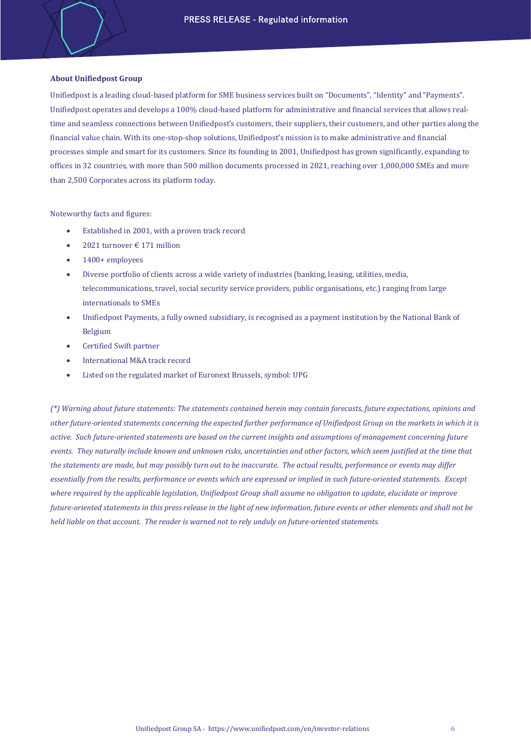## **About Unifiedpost Group**

Unifiedpost is a leading cloud-based platform for SME business services built on "Documents", "Identity" and "Payments". Unifiedpost operates and develops a 100% cloud-based platform for administrative and financial services that allows realtime and seamless connections between Unifiedpost's customers, their suppliers, their customers, and other parties along the financial value chain. With its one-stop-shop solutions, Unifiedpost's mission is to make administrative and financial processes simple and smart for its customers. Since its founding in 2001, Unifiedpost has grown significantly, expanding to offices in 32 countries, with more than 500 million documents processed in 2021, reaching over 1,000,000 SMEs and more than 2,500 Corporates across its platform today.

Noteworthy facts and figures:

- Established in 2001, with a proven track record
- 2021 turnover € 171 million
- 1400+ employees
- Diverse portfolio of clients across a wide variety of industries (banking, leasing, utilities, media, telecommunications, travel, social security service providers, public organisations, etc.) ranging from large internationals to SMEs
- Unifiedpost Payments, a fully owned subsidiary, is recognised as a payment institution by the National Bank of Belgium
- Certified Swift partner
- International M&A track record
- Listed on the regulated market of Euronext Brussels, symbol: UPG

*(\*) Warning about future statements: The statements contained herein may contain forecasts, future expectations, opinions and other future-oriented statements concerning the expected further performance of Unifiedpost Group on the markets in which it is active. Such future-oriented statements are based on the current insights and assumptions of management concerning future events. They naturally include known and unknown risks, uncertainties and other factors, which seem justified at the time that the statements are made, but may possibly turn out to be inaccurate. The actual results, performance or events may differ essentially from the results, performance or events which are expressed or implied in such future-oriented statements. Except where required by the applicable legislation, Unifiedpost Group shall assume no obligation to update, elucidate or improve future-oriented statements in this press release in the light of new information, future events or other elements and shall not be held liable on that account. The reader is warned not to rely unduly on future-oriented statements.*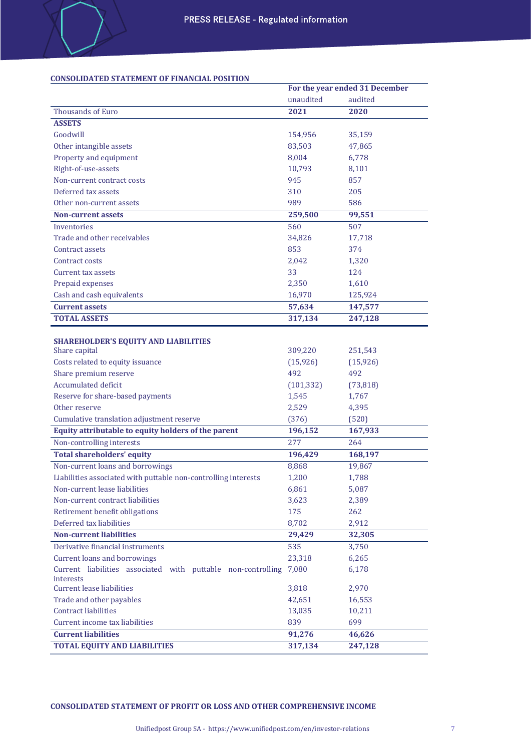# **CONSOLIDATED STATEMENT OF FINANCIAL POSITION**

|                                                                |            | For the year ended 31 December |
|----------------------------------------------------------------|------------|--------------------------------|
|                                                                | unaudited  | audited                        |
| Thousands of Euro                                              | 2021       | 2020                           |
| <b>ASSETS</b>                                                  |            |                                |
| Goodwill                                                       | 154,956    | 35,159                         |
| Other intangible assets                                        | 83,503     | 47,865                         |
| Property and equipment                                         | 8,004      | 6,778                          |
| Right-of-use-assets                                            | 10,793     | 8,101                          |
| Non-current contract costs                                     | 945        | 857                            |
| Deferred tax assets                                            | 310        | 205                            |
| Other non-current assets                                       | 989        | 586                            |
| <b>Non-current assets</b>                                      | 259,500    | 99,551                         |
| Inventories                                                    | 560        | 507                            |
| Trade and other receivables                                    | 34,826     | 17,718                         |
| Contract assets                                                | 853        | 374                            |
| Contract costs                                                 | 2,042      | 1,320                          |
| Current tax assets                                             | 33         | 124                            |
| Prepaid expenses                                               | 2,350      | 1,610                          |
| Cash and cash equivalents                                      | 16,970     | 125,924                        |
| <b>Current assets</b>                                          | 57,634     | 147,577                        |
| <b>TOTAL ASSETS</b>                                            | 317,134    | 247,128                        |
|                                                                |            |                                |
| SHAREHOLDER'S EQUITY AND LIABILITIES                           |            |                                |
| Share capital                                                  | 309,220    | 251,543                        |
| Costs related to equity issuance                               | (15, 926)  | (15, 926)                      |
| Share premium reserve                                          | 492        | 492                            |
| <b>Accumulated deficit</b>                                     | (101, 332) | (73, 818)                      |
| Reserve for share-based payments                               | 1,545      | 1,767                          |
| Other reserve                                                  | 2,529      | 4,395                          |
| Cumulative translation adjustment reserve                      | (376)      | (520)                          |
| Equity attributable to equity holders of the parent            | 196,152    | 167,933                        |
| Non-controlling interests                                      | 277        | 264                            |
| <b>Total shareholders' equity</b>                              | 196,429    | 168,197                        |
| Non-current loans and borrowings                               | 8,868      | 19,867                         |
| Liabilities associated with puttable non-controlling interests | 1,200      | 1,788                          |
| Non-current lease liabilities                                  | 6,861      | 5,087                          |
| Non-current contract liabilities                               | 3,623      | 2,389                          |
| Retirement benefit obligations                                 | 175        | 262                            |
| Deferred tax liabilities                                       | 8,702      | 2,912                          |
| <b>Non-current liabilities</b>                                 | 29,429     | 32,305                         |
| Derivative financial instruments                               | 535        | 3,750                          |
| <b>Current loans and borrowings</b>                            | 23,318     | 6,265                          |
| Current liabilities associated with puttable non-controlling   | 7,080      | 6,178                          |
| interests                                                      |            |                                |
| <b>Current lease liabilities</b>                               | 3,818      | 2,970                          |
| Trade and other payables                                       | 42,651     | 16,553                         |
| <b>Contract liabilities</b>                                    | 13,035     | 10,211                         |
| Current income tax liabilities                                 | 839        | 699                            |
| <b>Current liabilities</b>                                     | 91,276     | 46,626                         |
| <b>TOTAL EQUITY AND LIABILITIES</b>                            | 317,134    | 247,128                        |

**CONSOLIDATED STATEMENT OF PROFIT OR LOSS AND OTHER COMPREHENSIVE INCOME**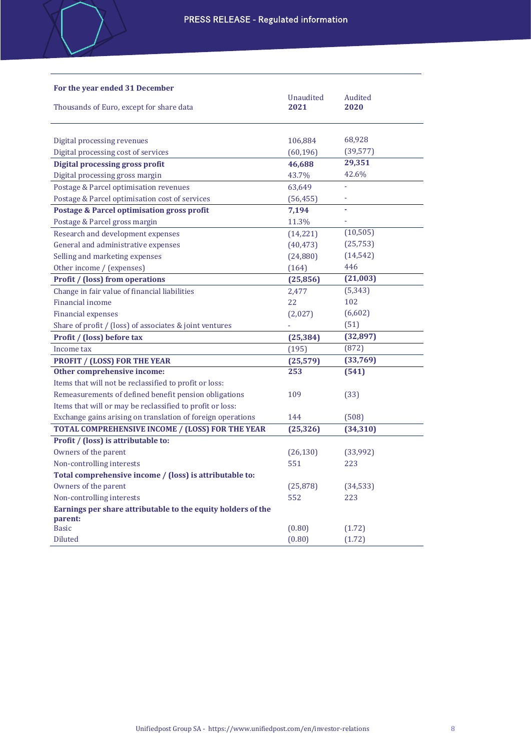| For the year ended 31 December                               |                   |                 |
|--------------------------------------------------------------|-------------------|-----------------|
| Thousands of Euro, except for share data                     | Unaudited<br>2021 | Audited<br>2020 |
|                                                              |                   |                 |
| Digital processing revenues                                  | 106,884           | 68,928          |
| Digital processing cost of services                          | (60, 196)         | (39, 577)       |
| Digital processing gross profit                              | 46,688            | 29,351          |
| Digital processing gross margin                              | 43.7%             | 42.6%           |
| Postage & Parcel optimisation revenues                       | 63,649            |                 |
| Postage & Parcel optimisation cost of services               | (56, 455)         |                 |
| Postage & Parcel optimisation gross profit                   | 7,194             |                 |
| Postage & Parcel gross margin                                | 11.3%             |                 |
| Research and development expenses                            | (14,221)          | (10, 505)       |
| General and administrative expenses                          | (40, 473)         | (25, 753)       |
| Selling and marketing expenses                               | (24, 880)         | (14, 542)       |
| Other income / (expenses)                                    | (164)             | 446             |
| <b>Profit / (loss) from operations</b>                       | (25, 856)         | (21,003)        |
| Change in fair value of financial liabilities                | 2,477             | (5, 343)        |
| <b>Financial income</b>                                      | 22                | 102             |
| <b>Financial expenses</b>                                    | (2,027)           | (6,602)         |
| Share of profit / (loss) of associates & joint ventures      |                   | (51)            |
| Profit / (loss) before tax                                   | (25, 384)         | (32, 897)       |
| Income tax                                                   | (195)             | (872)           |
| <b>PROFIT / (LOSS) FOR THE YEAR</b>                          | (25, 579)         | (33,769)        |
| Other comprehensive income:                                  | 253               | (541)           |
| Items that will not be reclassified to profit or loss:       |                   |                 |
| Remeasurements of defined benefit pension obligations        | 109               | (33)            |
| Items that will or may be reclassified to profit or loss:    |                   |                 |
| Exchange gains arising on translation of foreign operations  | 144               | (508)           |
| TOTAL COMPREHENSIVE INCOME / (LOSS) FOR THE YEAR             | (25, 326)         | (34, 310)       |
| Profit / (loss) is attributable to:                          |                   |                 |
| Owners of the parent                                         | (26, 130)         | (33,992)        |
| Non-controlling interests                                    | 551               | 223             |
| Total comprehensive income / (loss) is attributable to:      |                   |                 |
| Owners of the parent                                         | (25, 878)         | (34, 533)       |
| Non-controlling interests                                    | 552               | 223             |
| Earnings per share attributable to the equity holders of the |                   |                 |
| parent:<br><b>Basic</b>                                      |                   |                 |
|                                                              | (0.80)            | (1.72)          |
| <b>Diluted</b>                                               | (0.80)            | (1.72)          |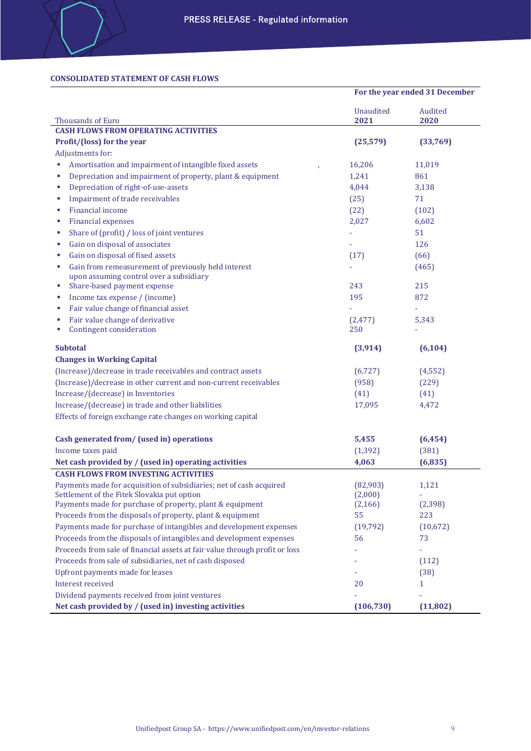# **CONSOLIDATED STATEMENT OF CASH FLOWS**

|                                                                             | For the year ended 31 December |                 |
|-----------------------------------------------------------------------------|--------------------------------|-----------------|
| <b>Thousands of Euro</b>                                                    | Unaudited<br>2021              | Audited<br>2020 |
| <b>CASH FLOWS FROM OPERATING ACTIVITIES</b>                                 |                                |                 |
| Profit/(loss) for the year                                                  | (25, 579)                      | (33,769)        |
| Adjustments for:                                                            |                                |                 |
| Amortisation and impairment of intangible fixed assets<br>F                 | 16,206                         | 11,019          |
| Depreciation and impairment of property, plant & equipment<br>F             | 1,241                          | 861             |
| Depreciation of right-of-use-assets<br>F                                    | 4,044                          | 3,138           |
| Impairment of trade receivables<br>D                                        | (25)                           | 71              |
| Financial income<br>F                                                       | (22)                           | (102)           |
| Financial expenses<br>F                                                     | 2,027                          | 6,602           |
| Share of (profit) / loss of joint ventures<br>F                             |                                | 51              |
| Gain on disposal of associates<br>F                                         |                                | 126             |
| Gain on disposal of fixed assets<br>F                                       | (17)                           | (66)            |
| Gain from remeasurement of previously held interest<br>F                    |                                | (465)           |
| upon assuming control over a subsidiary                                     |                                |                 |
| Share-based payment expense<br>F                                            | 243                            | 215             |
| Income tax expense / (income)<br>F                                          | 195                            | 872             |
| Fair value change of financial asset<br>F                                   |                                |                 |
| Fair value change of derivative<br>F<br>Contingent consideration<br>F       | (2, 477)<br>250                | 5,343           |
| <b>Subtotal</b>                                                             | (3, 914)                       | (6, 104)        |
| <b>Changes in Working Capital</b>                                           |                                |                 |
| (Increase)/decrease in trade receivables and contract assets                | (6, 727)                       | (4, 552)        |
| (Increase)/decrease in other current and non-current receivables            | (958)                          | (229)           |
| Increase/(decrease) in Inventories                                          | (41)                           | (41)            |
| Increase/(decrease) in trade and other liabilities                          | 17,095                         | 4,472           |
| Effects of foreign exchange rate changes on working capital                 |                                |                 |
| Cash generated from/ (used in) operations                                   | 5,455                          | (6, 454)        |
| Income taxes paid                                                           | (1, 392)                       | (381)           |
| Net cash provided by / (used in) operating activities                       | 4,063                          | (6,835)         |
| <b>CASH FLOWS FROM INVESTING ACTIVITIES</b>                                 |                                |                 |
| Payments made for acquisition of subsidiaries; net of cash acquired         | (82,903)                       | 1,121           |
| Settlement of the Fitek Slovakia put option                                 | (2,000)                        |                 |
| Payments made for purchase of property, plant & equipment                   | (2, 166)                       | (2, 398)        |
| Proceeds from the disposals of property, plant & equipment                  | 55                             | 223             |
| Payments made for purchase of intangibles and development expenses          | (19, 792)                      | (10,672)        |
| Proceeds from the disposals of intangibles and development expenses         | 56                             | 73              |
| Proceeds from sale of financial assets at fair value through profit or loss |                                |                 |
| Proceeds from sale of subsidiaries, net of cash disposed                    |                                | (112)           |
| Upfront payments made for leases                                            |                                | (38)            |
| Interest received                                                           | 20                             | $\mathbf{1}$    |
| Dividend payments received from joint ventures                              |                                |                 |
| Net cash provided by / (used in) investing activities                       | (106, 730)                     | (11, 802)       |